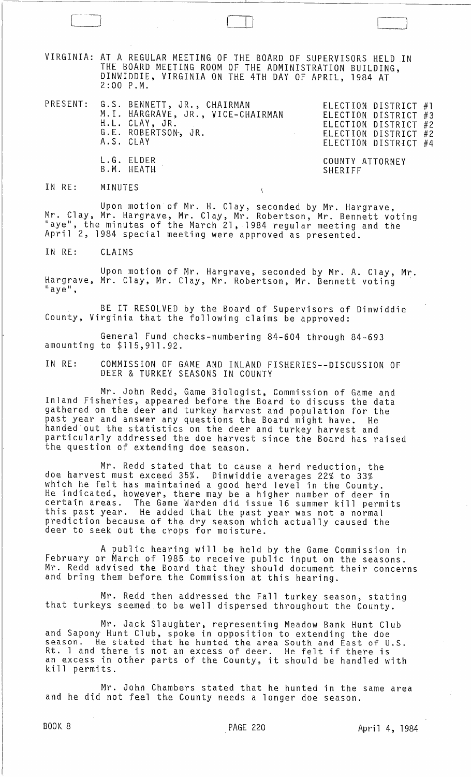VIRGINIA: AT A REGULAR MEETING OF THE BOARD OF SUPERVISORS HELD IN THE BOARD MEETING ROOM OF THE ADMINISTRATION BUILDING, DINWIDDIE~ VIRGINIA ON THE 4TH DAY OF APRIL~ 1984 AT 2:00 P.M.

r----] :1 <sup>J</sup>

PRESENT: G.S. BENNETT, JR., CHAIRMAN ELECTION DISTRICT #1 ELECTION DISTRICT #3 ELECTION DISTRICT #2 ELECTION DISTRICT #2 ELECTION DISTRICT #4 M.I. HARGRAVE, JR., VICE-CHAIRMAN H.L. CLAY, JR. G.E. ROBERTSON, JR. A.S. CLAY L.G. ELDER B.M. HEATH COUNTY ATTORNEY SHERIFF

IN RE: MINUTES

Upon motion of Mr. H. Clay, seconded by Mr. Hargrave, Mr. Clay, Mr. Hargrave, Mr. Clay, Mr. Robertson, Mr. Bennett voting<br>"aye", the minutes of the March 21, 1984 regular meeting and the April 2, 1984 special meeting were approved as presented.

IN RE: CLAIMS

Upon motion of Mr. Hargrave, seconded by Mr. A. Clay, Mr. Hargrave, Mr. Clay, Mr. Clay, Mr. Robertson, Mr. Bennett voting<br>"aye",

BE IT RESOLVED by the Board of Supervisors of Dinwiddie County, Virginia that the following claims be approved:

General Fund checks-numbering 84-604 through 84-693 amounting to \$115,911.92.

IN RE: COMMISSION OF GAME AND INLAND FISHERIES--DISCUSSION OF DEER & TURKEY SEASONS IN COUNTY

Mr. John Redd, Game Biologist, Commission of Game and Inland Fisheries, appeared before the Board to discuss the data gathered on the deer and turkey harvest and population for the past year and answer any questions the Board might have. He handed out the statistics on the deer and turkey harvest and particularly addressed the doe harvest since the Board has raised the question of extending doe season.

Mr. Redd stated that to cause a herd reduction, the doe harvest must exceed 35%. Dinwiddie averages 22% to 33% which he felt has maintained a good herd level in the County. He indicated, however, there may be a higher number of deer in certain areas. The Game Warden did issue 16 summer kill permits this past year. He added that the past year was not a normal prediction because of the dry season which actually caused the deer to seek out the crops for moisture.

A public hearing will be held by the Game Commission in February or March of 1985 to receive public input on the seasons. Mr. Redd advised the Board that they should document their concerns and bring them before the Commission at this hearing.

Mr. Redd then addressed the Fall turkey season, stating that turkeys seemed to be well dispersed throughout the County.

Mr. Jack Slaughter, representing Meadow Bank Hunt Club and Sapony Hunt Club, spoke in opposition to extending the doe season. He stated that he hunted the area South and East of U.S. season. The stated that he hunted the area south and east of o.<br>Rt. 1 and there is not an excess of deer. He felt if there is Rt. I and there is not an excess of deer. He felt if there is<br>an excess in other parts of the County, it should be handled with k ill perm its.

Mr. John Chambers stated that he hunted in the same area and he did not feel the County needs a longer doe season.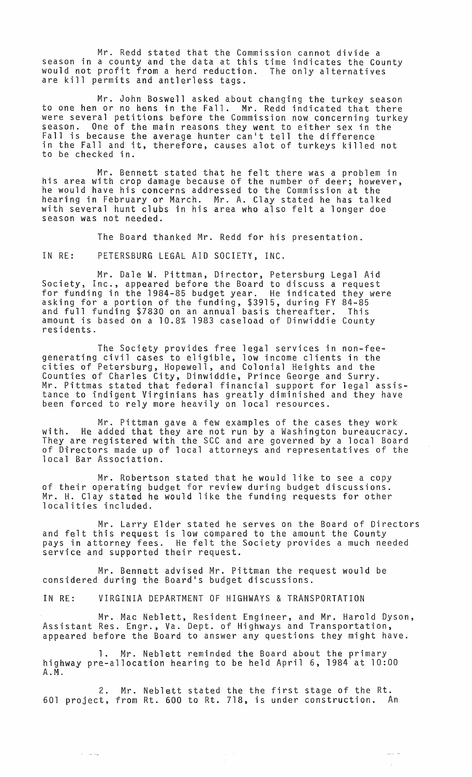Mr. Redd stated that the Commission cannot divide a season in a county and the data at this time indicates the County would not profit from a herd reduction. The only alternatives are kill permits and antlerless tags.

Mr. John Boswell asked about changing the turkey season to one hen or no hens in the Fall. Mr. Redd indicated that there were several petitions before the Commission now concerning turkey season. One of the main reasons they went to either sex in the Fall is because the average hunter can't tell the difference in the Fall and it, therefore, causes alot of turkeys killed not to be checked in.

Mr. Bennett stated that he felt there was a problem in his area with crop damage because of the number of deer; however, he would have his concerns addressed to the Commission at the hearing in February or March. Mr. A. Clay stated he has talked with several hunt clubs in his area who also felt a longer doe season was not needed.

The Board thanked Mr. Redd for his presentation.

IN RE: PETERSBURG LEGAL AID SOCIETY, INC.

Mr. Dale W. Pittman, Director, Petersburg Legal Aid Society, Inc., appeared before the Board to discuss a request for funding in the 1984-85 budget year. He indicated they were asking for a portion of the funding, \$3915, during FY 84-85 and full funding \$7830 on an annual basis thereafter. This amount is based on a 10.8% 1983 caseload of Dinwiddie County<br>residents.

The Society provides free legal services in non-feegenerating civil cases to eligible, low income clients in the cities of Petersburg, Hopewell, and Colonial Heights and the Counties of Charles City, Dinwiddie, Prince George and Surry. Mr. Pittmas stated that federal financial support for legal assistance to indigent Virginians has greatly diminished and they have been forced to rely more heavily on local resources.

Mr. Pittman gave a few examples of the cases they work with. He added that they are not run by a Washington bureaucracy. They are registered with the SCC and are governed by a local Board of Directors made up of local attorneys and representatives of the local Bar Association.

Mr. Robertson stated that he would like to see a copy of their operating budget for review during budget discussions. Mr. H. Clay stated he would like the funding requests for other localities included.

Mr. Larry Elder stated he serves on the Board of Directors and felt this request is low compared to the amount the County pays in attorney fees. He felt the Society provides a much needed service and supported their request.

Mr. Bennett advised Mr. Pittman the request would be considered during the Board's budget discussions.

IN RE: VIRGINIA DEPARTMENT OF HIGHWAYS & TRANSPORTATION

Mr. Mac Neblett, Resident Engineer, and Mr. Harold Dyson, Assistant Res. Engr., Va. Dept. of Highways and Transportation, appeared before the Board to answer any questions they might have.

1. Mr. Neblett reminded the Board about the primary highway pre-allocation hearing to be held April 6, 1984 at 10:00 A.M.

2. Mr. Neblett stated the the first stage of the Rt. 601 project, from Rt. 600 to Rt. 718, is under construction. An

 $\tilde{\lambda}$  ,  $\tilde{\lambda}$ 

 $\mathbb{R}^2$ 

 $\sim$  10  $\sim$  4  $\sim$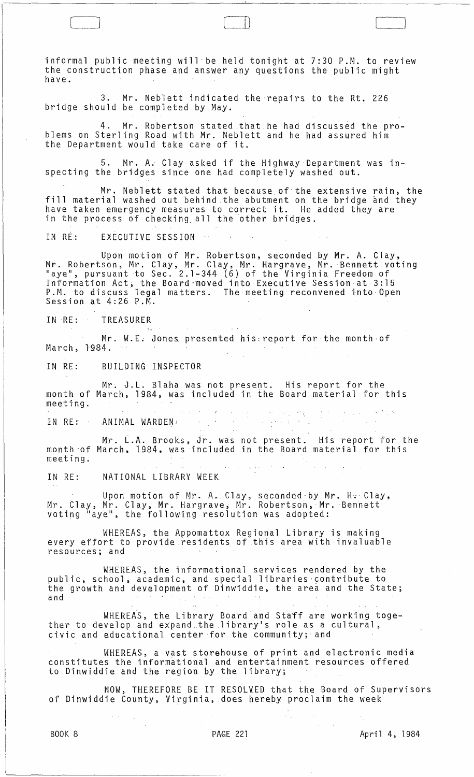informal public meeting will be held tonight at 7:30 P.M. to review the construction phase and answer any questions the public might have.

3. Mr. Neblett indicated the repairs to the Rt. 226 bridge should be completed by May.

4. Mr. Robertson stated that he had discussed the problems on Sterling Road with Mr. Neblett and he had assured him the Department would take care of it.

S. Mr. A. Clay asked if the Highway Department was inspecting the bridges since one had completely washed out.

Mr. Neblett stated that because. of the extensive rain, the fill material washed out behind.the abutment on the bridge and they have taken emergency measures to correct it. He added they are in the process of checking, all the"other bridges.

IN RE: EXECUTIVE SESSION

Upon motion of Mr. Robertson, seconded by Mr. A. Clay, Mr. Robertson, Mr. Clay, Mr. Clay, Mr. Hargrave, Mr. Bennett voting "aye", pursuant to Sec. 2.1-344 (6) of the Virginia Freedom of Information Act; the Board-moved into Executive Session at 3:1S P.M. to discuss legal matters.' The meeting reconvened into Open Session at 4:26 P.M.

 $\sim 10^{11}$ 

IN RE: TREASURER

 $\begin{array}{|c|c|c|c|c|}\hline \quad \quad & \quad \quad & \quad \quad & \quad \quad \\ \hline \quad \quad & \quad \quad & \quad \quad & \quad \quad \\ \hline \end{array}$ 

Mr. W.E. Jones presented his: report for the month of March, 1984.

IN RE: BUILDING INSPECTOR

Mr. J.L. Blaha was not present. His report for the month of March, 1984, was included in the Board material for this meeting.

IN RE: ANIMAL WARDEN: The Contract of the Contract of the Contract of the Contract of the Contract of the Contract of the Contract of the Contract of the Contract of the Contract of the Contract of the Contract of the Cont

Mr. L.A. Brooks, Jr. was not present. His report for the month-of March, 1984, was included in the Board material for this meeting.  $\label{eq:2} \left\langle \left\langle \left( \mathbf{r} \right) \right\rangle \right\rangle \left\langle \left( \mathbf{r} \right) \right\rangle = \left\langle \mathbf{x} \right\rangle \left\langle \mathbf{r} \right\rangle \left\langle \left( \mathbf{r} \right) \right\rangle \left\langle \left( \mathbf{r} \right) \right\rangle \left\langle \mathbf{x} \right\rangle \left\langle \mathbf{r} \right\rangle$ 

IN RE: NATIONAL LIBRARY WEEK

Upon motion of Mr. A.' Clay, seconded'by Mr. H~' Clay, Mr. Clay, Mr. Clay, Mr. Hargrave, Mr. Robertson, Mr. Bennett voting lIaye ll , the following resolution was adopted:

WHEREAS, the Appomattox Regional Library is making every effort to provide residents of this area with invaluable resources; and

WHEREAS, the informational services rendered by the public, school, academic, and special libraries-contribute to the growth and development of Dinwiddie, the area and the State; and

WHEREAS, the Library Board and Staff are working together to develop and expand,thelibrary's role as a cultural, civic and educational center for the community; and

WHEREAS, a vast storehouse of print and electronic media constitutes the informational and entertainment resources offered to Dinwiddie and the region by the library;

NOW, THEREFORE BE IT RESOLVED that the Board of Supervisors of Dinwiddie County, Virginia, does hereby proclaim the week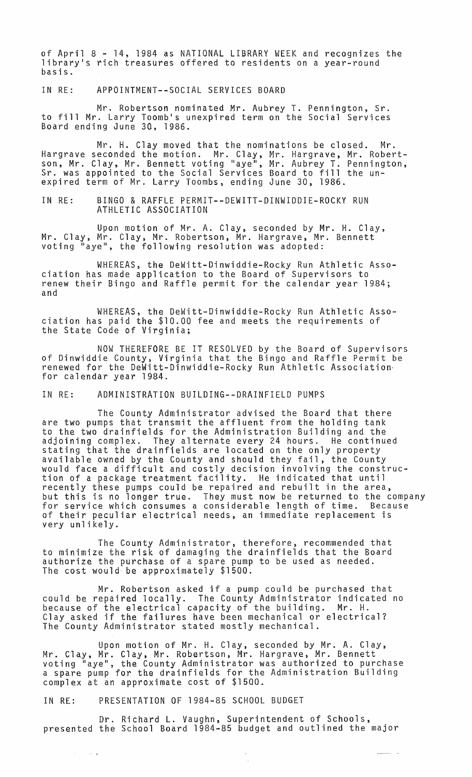of April 8 - 14, 1984 as NATIONAL LIBRARY WEEK and recognizes the library's rich treasures offered to residents on a year-round basis.

IN RE: APPOINTMENT--SOCIAL SERVICES BOARD

Mr. Robertson nominated Mr. Aubrey T. Pennington, Sr. to fill Mr. Larry Toomb's unexpired term on the Social Services Board ending June 30, 1986.

Mr. H. Clay moved that the nominations be closed. Mr. Hargrave seconded the motion. Mr. Clay, Mr. Hargrave, Mr. Robertson, Mr. Clay, Mr. Bennett voting "aye", Mr. Aubrey T. Pennington, Sr. was appointed to the Social Services Board to fill the unexpired term of Mr. Larry Toombs, ending June 30, 1986.

IN RE: BINGO & RAFFLE PERMIT--DEWITT-DINWIDDIE-ROCKY RUN ATHLETIC ASSOCIATION

Upon motion of Mr. A. Clay, seconded by Mr. H. Clay, Mr. Clay, Mr. Clay, Mr. Robertson, Mr. Hargrave, Mr. Bennett voting "aye", the following resolution was adopted:

WHEREAS, the DeWitt-Dinwiddie-Rocky Run Athletic Association has made application to the Board of Supervisors to renew their Bingo and Raffle permit for the calendar year 1984; and

WHEREAS, the DeWitt-Dinwiddie-Rocky Run Athletic Association has paid the \$10.00 fee and meets the requirements of the State Code of Virginia;

NOW THEREFORE BE IT RESOLVED by the Board of Supervisors of Dinwiddie County, Virginia that the Bingo and Raffle Permit be renewed for the DeWitt-Dinwiddie-Rocky Run Athletic Associationfor calendar year 1984.

IN RE: ADMINISTRATION BUILDING--DRAINFIELD PUMPS

The County Administrator advised the Board that there are two pumps that transmit the affluent from the holding tank to the two drainfields for the Administration Building and the adjoining complex. They alternate every 24 hours. He continued stating that the drainfie1ds are located on the only property available owned by the County and should they fail, the County would face a difficult and costly decision involving the construction of a package treatment facility. He indicated that until recently these pumps could be repaired and rebuilt in the area, but this is no longer true. They must now be returned to the company for service which consumes a considerable length of time. Because of their peculiar electrical needs, an immediate replacement is very unlikely.

The County Administrator, therefore, recommended that to minimize the risk of damaging the drainfields that the Board authorize the purchase of a spare pump to be used as needed. The cost would be approximately \$1500.

Mr. Robertson asked if a pump could be purchased that could be repaired locally. The County Administrator indicated no because of the electrical capacity of the building. Mr. H. Clay asked if the failures have been mechanical or electrical? The County Administrator stated mostly mechanical.

Upon motion of Mr. H. Clay, seconded by Mr. A. Clay, Mr. Clay, Mr. Clay, Mr. Robertson, Mr. Hargrave, Mr. Bennett voting "aye", the County Administrator was authorized to purchase a spare pump for the drainfie1ds for the Administration Building complex at an approximate cost of \$1500.

IN RE: PRESENTATION OF 1984-85 SCHOOL BUDGET

 $\sim$ 

 $\sim$   $\sim$   $\sim$ 

Dr. Richard L. Vaughn, Superintendent of Schools, presented the School Board 1984-85 budget and outlined the major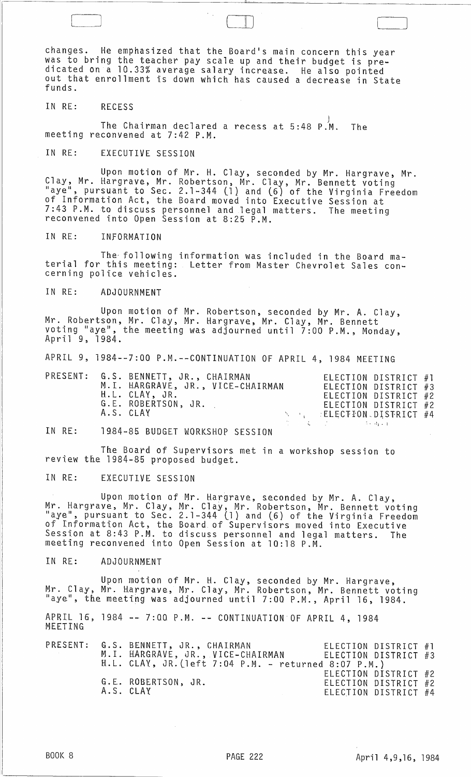changes. He emphasized that the Board's main concern this year was to bring the teacher pay scale up and their budget is predicated on a 10.33% average salary increase. He also pointed out that enrollment is down which has caused a decrease in State funds.

## IN RE: RECESS

 $\big]$ 

The Chairman declared a recess at 5:48 P.M. The meeting reconvened at 7:42 P.M.

IN RE: EXECUTIVE SESSION

Upon motion of Mr. H. Clay, seconded by Mr. Hargrave, Mr. Clay, Mr. Hargrave, Mr. Robertson, Mr. Clay, Mr. Bennett voting "aye", pursuant to Sec. 2.1-344 (1) and (6) of the Virginia Freedom of Information Act, the Board moved into Executive Session at 7:43 P.M. to discuss personnel and legal matters. The meeting<br>reconvened into Open Session at 8:25 P.M.

IN RE: INFORMATION

The- following information was included in the Board material for this meeting: Letter from Master Chevrolet Sales concerning police vehicles.

IN RE: ADJOURNMENT

Upon motion of Mr. Robertson, seconded by Mr. A. Clay, Mr. Robertson, Mr. Clay, Mr. Hargrave, Mr. Clay, Mr. Bennett voting "aye", the meeting was adjourned until 7:00 P.M., Monday,<br>April 9, 1984.

APRIL 9, 1984--7:00 P.M.--CONTINUATION OF APRIL 4, 1984 MEETING

|  | PRESENT: G.S. BENNETT, JR., CHAIRMAN<br>H.L. CLAY, JR.<br>G.E. ROBERTSON, JR.<br>A.S. CLAY | M.I. HARGRAVE, JR., VICE-CHAIRMAN |  | $\sim$ $\sim$ ELECTION DISTRICT #4 | ELECTION DISTRICT #1<br>ELECTION DISTRICT #3<br>ELECTION DISTRICT #2<br>ELECTION DISTRICT #2 |  |
|--|--------------------------------------------------------------------------------------------|-----------------------------------|--|------------------------------------|----------------------------------------------------------------------------------------------|--|
|  |                                                                                            |                                   |  |                                    |                                                                                              |  |

IN RE: 1984-85 BUDGET WORKSHOP SESSION

The Board of Supervisors met in a workshop session to review the 1984-85 proposed budget.

IN RE: EXECUTIVE SESSION

Upon motion of Mr. Hargrave, seconded by Mr. A. Clay, Mr. Hargrave, Mr. Clay, Mr. Clay, Mr. Robertson, Mr. Bennett voting<br>"aye", pursuant to Sec. 2.1-344 (1) and (6) of the Virginia Freedom of Information Act, the Board. of Supervisors moved into Executive Session at 8:43 P.M. to discuss personnel and legal matters. The meeting reconvened into Open Session at 10:18 P.M.

IN RE: ADJOURNMENT

Upon motion of Mr. H. Clay, seconded by Mr. Hargrave, Mr. Clay, Mr. Hargrave, Mr. Clay, Mr. Robertson, Mr. Bennett voting "aye", the meeting was adjourned until 7:00 P.M., April 16, 1984.

APRIL 16, 1984 -- 7:00 P.M. -- CONTINUATION' OF APRIL 4, 1984 MEETING

PRESENT: G.S. BENNETT, JR., CHAIRMAN M.1. HARGRAVE, JR. , VICE-CHAIRMAN ELECTION DISTRICT ELL. CLAY, JR. (left 7:04 P.M. - returned 8:07 P.M.) ELECTION DISTRICT #2 G.E. ROBERTSON, JR.<br>A.S. CLAY A.S. CLAY. THE REAL PROPERTY OF STRAIGHT AND RELECTION DISTRICT #4 ELECTION DISTRICT #1 ELECTION DISTRICT #3 ELECTION DISTRICT #2